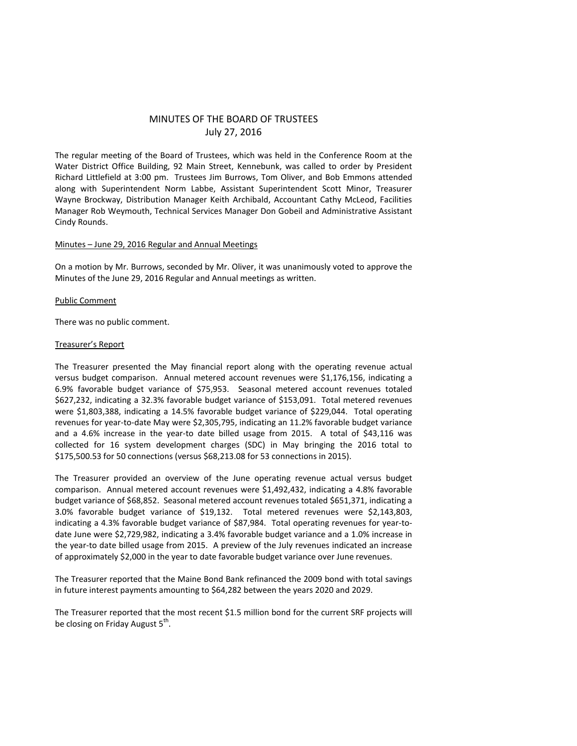# MINUTES OF THE BOARD OF TRUSTEES July 27, 2016

The regular meeting of the Board of Trustees, which was held in the Conference Room at the Water District Office Building, 92 Main Street, Kennebunk, was called to order by President Richard Littlefield at 3:00 pm. Trustees Jim Burrows, Tom Oliver, and Bob Emmons attended along with Superintendent Norm Labbe, Assistant Superintendent Scott Minor, Treasurer Wayne Brockway, Distribution Manager Keith Archibald, Accountant Cathy McLeod, Facilities Manager Rob Weymouth, Technical Services Manager Don Gobeil and Administrative Assistant Cindy Rounds.

## Minutes – June 29, 2016 Regular and Annual Meetings

On a motion by Mr. Burrows, seconded by Mr. Oliver, it was unanimously voted to approve the Minutes of the June 29, 2016 Regular and Annual meetings as written.

## Public Comment

There was no public comment.

## Treasurer's Report

The Treasurer presented the May financial report along with the operating revenue actual versus budget comparison. Annual metered account revenues were \$1,176,156, indicating a 6.9% favorable budget variance of \$75,953. Seasonal metered account revenues totaled \$627,232, indicating a 32.3% favorable budget variance of \$153,091. Total metered revenues were \$1,803,388, indicating a 14.5% favorable budget variance of \$229,044. Total operating revenues for year-to-date May were \$2,305,795, indicating an 11.2% favorable budget variance and a 4.6% increase in the year-to date billed usage from 2015. A total of \$43,116 was collected for 16 system development charges (SDC) in May bringing the 2016 total to \$175,500.53 for 50 connections (versus \$68,213.08 for 53 connections in 2015).

The Treasurer provided an overview of the June operating revenue actual versus budget comparison. Annual metered account revenues were \$1,492,432, indicating a 4.8% favorable budget variance of \$68,852. Seasonal metered account revenues totaled \$651,371, indicating a 3.0% favorable budget variance of \$19,132. Total metered revenues were \$2,143,803, indicating a 4.3% favorable budget variance of \$87,984. Total operating revenues for year-todate June were \$2,729,982, indicating a 3.4% favorable budget variance and a 1.0% increase in the year-to date billed usage from 2015. A preview of the July revenues indicated an increase of approximately \$2,000 in the year to date favorable budget variance over June revenues.

The Treasurer reported that the Maine Bond Bank refinanced the 2009 bond with total savings in future interest payments amounting to \$64,282 between the years 2020 and 2029.

The Treasurer reported that the most recent \$1.5 million bond for the current SRF projects will be closing on Friday August 5<sup>th</sup>.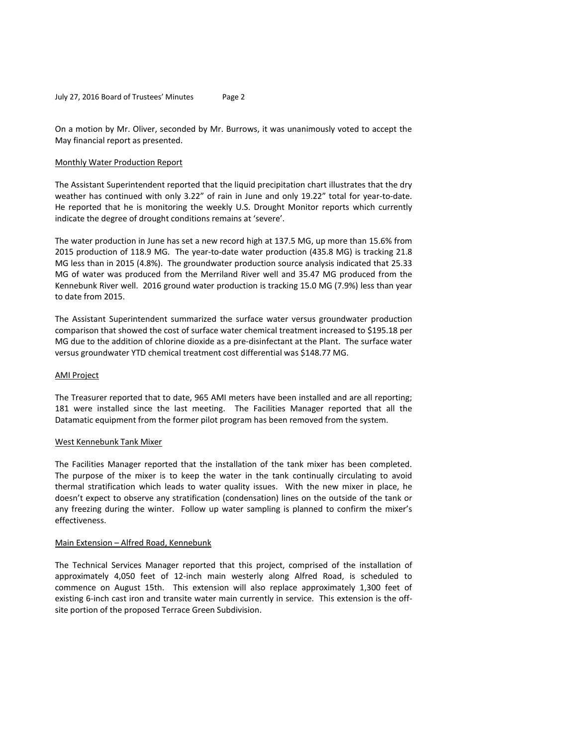On a motion by Mr. Oliver, seconded by Mr. Burrows, it was unanimously voted to accept the May financial report as presented.

## Monthly Water Production Report

The Assistant Superintendent reported that the liquid precipitation chart illustrates that the dry weather has continued with only 3.22" of rain in June and only 19.22" total for year-to-date. He reported that he is monitoring the weekly U.S. Drought Monitor reports which currently indicate the degree of drought conditions remains at 'severe'.

The water production in June has set a new record high at 137.5 MG, up more than 15.6% from 2015 production of 118.9 MG. The year-to-date water production (435.8 MG) is tracking 21.8 MG less than in 2015 (4.8%). The groundwater production source analysis indicated that 25.33 MG of water was produced from the Merriland River well and 35.47 MG produced from the Kennebunk River well. 2016 ground water production is tracking 15.0 MG (7.9%) less than year to date from 2015.

The Assistant Superintendent summarized the surface water versus groundwater production comparison that showed the cost of surface water chemical treatment increased to \$195.18 per MG due to the addition of chlorine dioxide as a pre-disinfectant at the Plant. The surface water versus groundwater YTD chemical treatment cost differential was \$148.77 MG.

### AMI Project

The Treasurer reported that to date, 965 AMI meters have been installed and are all reporting; 181 were installed since the last meeting. The Facilities Manager reported that all the Datamatic equipment from the former pilot program has been removed from the system.

### West Kennebunk Tank Mixer

The Facilities Manager reported that the installation of the tank mixer has been completed. The purpose of the mixer is to keep the water in the tank continually circulating to avoid thermal stratification which leads to water quality issues. With the new mixer in place, he doesn't expect to observe any stratification (condensation) lines on the outside of the tank or any freezing during the winter. Follow up water sampling is planned to confirm the mixer's effectiveness.

### Main Extension – Alfred Road, Kennebunk

The Technical Services Manager reported that this project, comprised of the installation of approximately 4,050 feet of 12-inch main westerly along Alfred Road, is scheduled to commence on August 15th. This extension will also replace approximately 1,300 feet of existing 6-inch cast iron and transite water main currently in service. This extension is the offsite portion of the proposed Terrace Green Subdivision.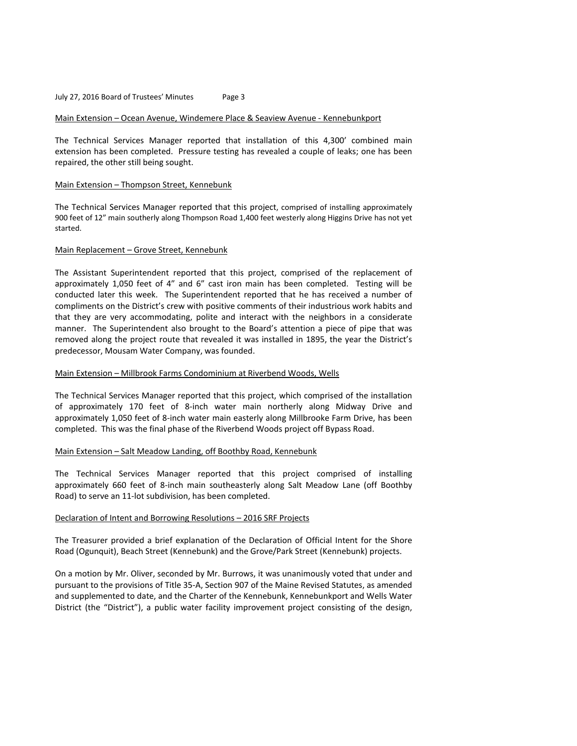### Main Extension – Ocean Avenue, Windemere Place & Seaview Avenue - Kennebunkport

The Technical Services Manager reported that installation of this 4,300' combined main extension has been completed. Pressure testing has revealed a couple of leaks; one has been repaired, the other still being sought.

### Main Extension – Thompson Street, Kennebunk

The Technical Services Manager reported that this project, comprised of installing approximately 900 feet of 12" main southerly along Thompson Road 1,400 feet westerly along Higgins Drive has not yet started.

### Main Replacement – Grove Street, Kennebunk

The Assistant Superintendent reported that this project, comprised of the replacement of approximately 1,050 feet of 4" and 6" cast iron main has been completed. Testing will be conducted later this week. The Superintendent reported that he has received a number of compliments on the District's crew with positive comments of their industrious work habits and that they are very accommodating, polite and interact with the neighbors in a considerate manner. The Superintendent also brought to the Board's attention a piece of pipe that was removed along the project route that revealed it was installed in 1895, the year the District's predecessor, Mousam Water Company, was founded.

### Main Extension – Millbrook Farms Condominium at Riverbend Woods, Wells

The Technical Services Manager reported that this project, which comprised of the installation of approximately 170 feet of 8-inch water main northerly along Midway Drive and approximately 1,050 feet of 8-inch water main easterly along Millbrooke Farm Drive, has been completed. This was the final phase of the Riverbend Woods project off Bypass Road.

## Main Extension – Salt Meadow Landing, off Boothby Road, Kennebunk

The Technical Services Manager reported that this project comprised of installing approximately 660 feet of 8-inch main southeasterly along Salt Meadow Lane (off Boothby Road) to serve an 11-lot subdivision, has been completed.

## Declaration of Intent and Borrowing Resolutions – 2016 SRF Projects

The Treasurer provided a brief explanation of the Declaration of Official Intent for the Shore Road (Ogunquit), Beach Street (Kennebunk) and the Grove/Park Street (Kennebunk) projects.

On a motion by Mr. Oliver, seconded by Mr. Burrows, it was unanimously voted that under and pursuant to the provisions of Title 35-A, Section 907 of the Maine Revised Statutes, as amended and supplemented to date, and the Charter of the Kennebunk, Kennebunkport and Wells Water District (the "District"), a public water facility improvement project consisting of the design,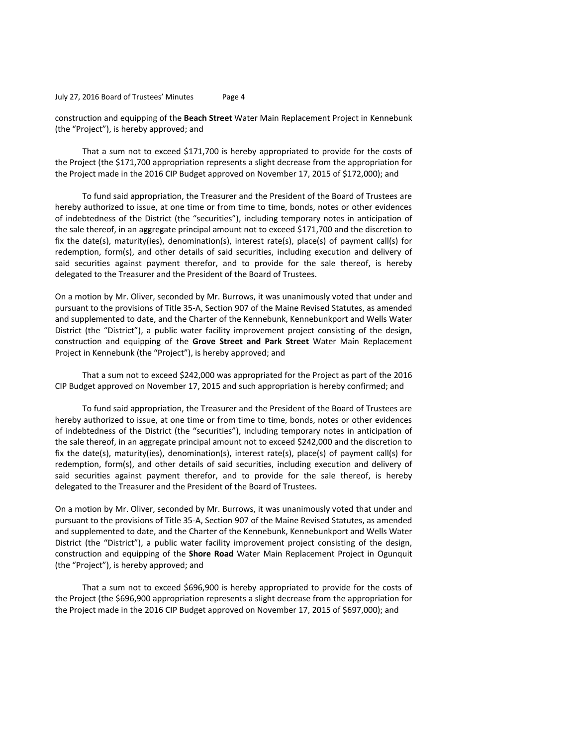construction and equipping of the **Beach Street** Water Main Replacement Project in Kennebunk (the "Project"), is hereby approved; and

That a sum not to exceed \$171,700 is hereby appropriated to provide for the costs of the Project (the \$171,700 appropriation represents a slight decrease from the appropriation for the Project made in the 2016 CIP Budget approved on November 17, 2015 of \$172,000); and

To fund said appropriation, the Treasurer and the President of the Board of Trustees are hereby authorized to issue, at one time or from time to time, bonds, notes or other evidences of indebtedness of the District (the "securities"), including temporary notes in anticipation of the sale thereof, in an aggregate principal amount not to exceed \$171,700 and the discretion to fix the date(s), maturity(ies), denomination(s), interest rate(s), place(s) of payment call(s) for redemption, form(s), and other details of said securities, including execution and delivery of said securities against payment therefor, and to provide for the sale thereof, is hereby delegated to the Treasurer and the President of the Board of Trustees.

On a motion by Mr. Oliver, seconded by Mr. Burrows, it was unanimously voted that under and pursuant to the provisions of Title 35-A, Section 907 of the Maine Revised Statutes, as amended and supplemented to date, and the Charter of the Kennebunk, Kennebunkport and Wells Water District (the "District"), a public water facility improvement project consisting of the design, construction and equipping of the **Grove Street and Park Street** Water Main Replacement Project in Kennebunk (the "Project"), is hereby approved; and

That a sum not to exceed \$242,000 was appropriated for the Project as part of the 2016 CIP Budget approved on November 17, 2015 and such appropriation is hereby confirmed; and

To fund said appropriation, the Treasurer and the President of the Board of Trustees are hereby authorized to issue, at one time or from time to time, bonds, notes or other evidences of indebtedness of the District (the "securities"), including temporary notes in anticipation of the sale thereof, in an aggregate principal amount not to exceed \$242,000 and the discretion to fix the date(s), maturity(ies), denomination(s), interest rate(s), place(s) of payment call(s) for redemption, form(s), and other details of said securities, including execution and delivery of said securities against payment therefor, and to provide for the sale thereof, is hereby delegated to the Treasurer and the President of the Board of Trustees.

On a motion by Mr. Oliver, seconded by Mr. Burrows, it was unanimously voted that under and pursuant to the provisions of Title 35-A, Section 907 of the Maine Revised Statutes, as amended and supplemented to date, and the Charter of the Kennebunk, Kennebunkport and Wells Water District (the "District"), a public water facility improvement project consisting of the design, construction and equipping of the **Shore Road** Water Main Replacement Project in Ogunquit (the "Project"), is hereby approved; and

That a sum not to exceed \$696,900 is hereby appropriated to provide for the costs of the Project (the \$696,900 appropriation represents a slight decrease from the appropriation for the Project made in the 2016 CIP Budget approved on November 17, 2015 of \$697,000); and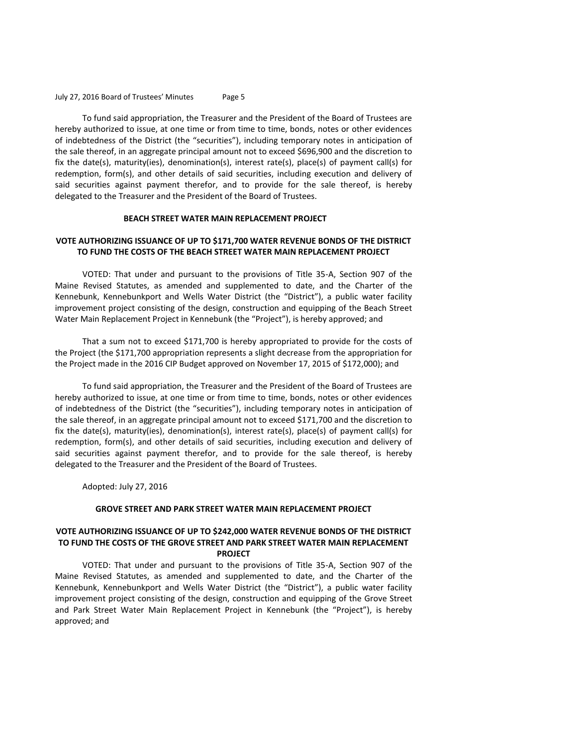To fund said appropriation, the Treasurer and the President of the Board of Trustees are hereby authorized to issue, at one time or from time to time, bonds, notes or other evidences of indebtedness of the District (the "securities"), including temporary notes in anticipation of the sale thereof, in an aggregate principal amount not to exceed \$696,900 and the discretion to fix the date(s), maturity(ies), denomination(s), interest rate(s), place(s) of payment call(s) for redemption, form(s), and other details of said securities, including execution and delivery of said securities against payment therefor, and to provide for the sale thereof, is hereby delegated to the Treasurer and the President of the Board of Trustees.

### **BEACH STREET WATER MAIN REPLACEMENT PROJECT**

## **VOTE AUTHORIZING ISSUANCE OF UP TO \$171,700 WATER REVENUE BONDS OF THE DISTRICT TO FUND THE COSTS OF THE BEACH STREET WATER MAIN REPLACEMENT PROJECT**

VOTED: That under and pursuant to the provisions of Title 35-A, Section 907 of the Maine Revised Statutes, as amended and supplemented to date, and the Charter of the Kennebunk, Kennebunkport and Wells Water District (the "District"), a public water facility improvement project consisting of the design, construction and equipping of the Beach Street Water Main Replacement Project in Kennebunk (the "Project"), is hereby approved; and

That a sum not to exceed \$171,700 is hereby appropriated to provide for the costs of the Project (the \$171,700 appropriation represents a slight decrease from the appropriation for the Project made in the 2016 CIP Budget approved on November 17, 2015 of \$172,000); and

To fund said appropriation, the Treasurer and the President of the Board of Trustees are hereby authorized to issue, at one time or from time to time, bonds, notes or other evidences of indebtedness of the District (the "securities"), including temporary notes in anticipation of the sale thereof, in an aggregate principal amount not to exceed \$171,700 and the discretion to fix the date(s), maturity(ies), denomination(s), interest rate(s), place(s) of payment call(s) for redemption, form(s), and other details of said securities, including execution and delivery of said securities against payment therefor, and to provide for the sale thereof, is hereby delegated to the Treasurer and the President of the Board of Trustees.

Adopted: July 27, 2016

### **GROVE STREET AND PARK STREET WATER MAIN REPLACEMENT PROJECT**

### **VOTE AUTHORIZING ISSUANCE OF UP TO \$242,000 WATER REVENUE BONDS OF THE DISTRICT TO FUND THE COSTS OF THE GROVE STREET AND PARK STREET WATER MAIN REPLACEMENT PROJECT**

VOTED: That under and pursuant to the provisions of Title 35-A, Section 907 of the Maine Revised Statutes, as amended and supplemented to date, and the Charter of the Kennebunk, Kennebunkport and Wells Water District (the "District"), a public water facility improvement project consisting of the design, construction and equipping of the Grove Street and Park Street Water Main Replacement Project in Kennebunk (the "Project"), is hereby approved; and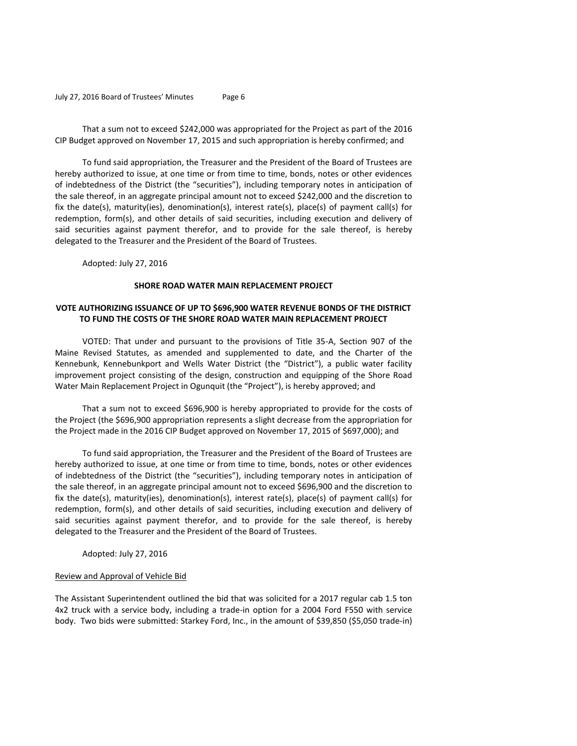That a sum not to exceed \$242,000 was appropriated for the Project as part of the 2016 CIP Budget approved on November 17, 2015 and such appropriation is hereby confirmed; and

To fund said appropriation, the Treasurer and the President of the Board of Trustees are hereby authorized to issue, at one time or from time to time, bonds, notes or other evidences of indebtedness of the District (the "securities"), including temporary notes in anticipation of the sale thereof, in an aggregate principal amount not to exceed \$242,000 and the discretion to fix the date(s), maturity(ies), denomination(s), interest rate(s), place(s) of payment call(s) for redemption, form(s), and other details of said securities, including execution and delivery of said securities against payment therefor, and to provide for the sale thereof, is hereby delegated to the Treasurer and the President of the Board of Trustees.

Adopted: July 27, 2016

### **SHORE ROAD WATER MAIN REPLACEMENT PROJECT**

# **VOTE AUTHORIZING ISSUANCE OF UP TO \$696,900 WATER REVENUE BONDS OF THE DISTRICT TO FUND THE COSTS OF THE SHORE ROAD WATER MAIN REPLACEMENT PROJECT**

VOTED: That under and pursuant to the provisions of Title 35-A, Section 907 of the Maine Revised Statutes, as amended and supplemented to date, and the Charter of the Kennebunk, Kennebunkport and Wells Water District (the "District"), a public water facility improvement project consisting of the design, construction and equipping of the Shore Road Water Main Replacement Project in Ogunquit (the "Project"), is hereby approved; and

That a sum not to exceed \$696,900 is hereby appropriated to provide for the costs of the Project (the \$696,900 appropriation represents a slight decrease from the appropriation for the Project made in the 2016 CIP Budget approved on November 17, 2015 of \$697,000); and

To fund said appropriation, the Treasurer and the President of the Board of Trustees are hereby authorized to issue, at one time or from time to time, bonds, notes or other evidences of indebtedness of the District (the "securities"), including temporary notes in anticipation of the sale thereof, in an aggregate principal amount not to exceed \$696,900 and the discretion to fix the date(s), maturity(ies), denomination(s), interest rate(s), place(s) of payment call(s) for redemption, form(s), and other details of said securities, including execution and delivery of said securities against payment therefor, and to provide for the sale thereof, is hereby delegated to the Treasurer and the President of the Board of Trustees.

Adopted: July 27, 2016

### Review and Approval of Vehicle Bid

The Assistant Superintendent outlined the bid that was solicited for a 2017 regular cab 1.5 ton 4x2 truck with a service body, including a trade-in option for a 2004 Ford F550 with service body. Two bids were submitted: Starkey Ford, Inc., in the amount of \$39,850 (\$5,050 trade-in)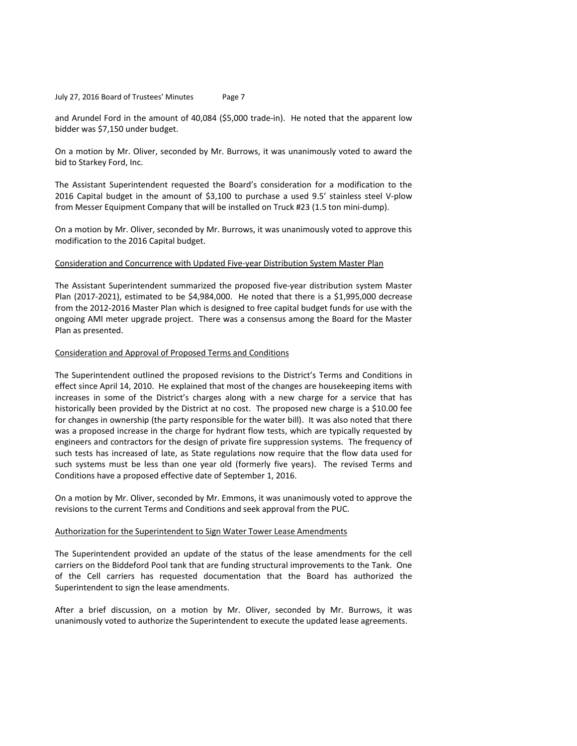and Arundel Ford in the amount of 40,084 (\$5,000 trade-in). He noted that the apparent low bidder was \$7,150 under budget.

On a motion by Mr. Oliver, seconded by Mr. Burrows, it was unanimously voted to award the bid to Starkey Ford, Inc.

The Assistant Superintendent requested the Board's consideration for a modification to the 2016 Capital budget in the amount of \$3,100 to purchase a used 9.5' stainless steel V-plow from Messer Equipment Company that will be installed on Truck #23 (1.5 ton mini-dump).

On a motion by Mr. Oliver, seconded by Mr. Burrows, it was unanimously voted to approve this modification to the 2016 Capital budget.

### Consideration and Concurrence with Updated Five-year Distribution System Master Plan

The Assistant Superintendent summarized the proposed five-year distribution system Master Plan (2017-2021), estimated to be \$4,984,000. He noted that there is a \$1,995,000 decrease from the 2012-2016 Master Plan which is designed to free capital budget funds for use with the ongoing AMI meter upgrade project. There was a consensus among the Board for the Master Plan as presented.

### Consideration and Approval of Proposed Terms and Conditions

The Superintendent outlined the proposed revisions to the District's Terms and Conditions in effect since April 14, 2010. He explained that most of the changes are housekeeping items with increases in some of the District's charges along with a new charge for a service that has historically been provided by the District at no cost. The proposed new charge is a \$10.00 fee for changes in ownership (the party responsible for the water bill). It was also noted that there was a proposed increase in the charge for hydrant flow tests, which are typically requested by engineers and contractors for the design of private fire suppression systems. The frequency of such tests has increased of late, as State regulations now require that the flow data used for such systems must be less than one year old (formerly five years). The revised Terms and Conditions have a proposed effective date of September 1, 2016.

On a motion by Mr. Oliver, seconded by Mr. Emmons, it was unanimously voted to approve the revisions to the current Terms and Conditions and seek approval from the PUC.

#### Authorization for the Superintendent to Sign Water Tower Lease Amendments

The Superintendent provided an update of the status of the lease amendments for the cell carriers on the Biddeford Pool tank that are funding structural improvements to the Tank. One of the Cell carriers has requested documentation that the Board has authorized the Superintendent to sign the lease amendments.

After a brief discussion, on a motion by Mr. Oliver, seconded by Mr. Burrows, it was unanimously voted to authorize the Superintendent to execute the updated lease agreements.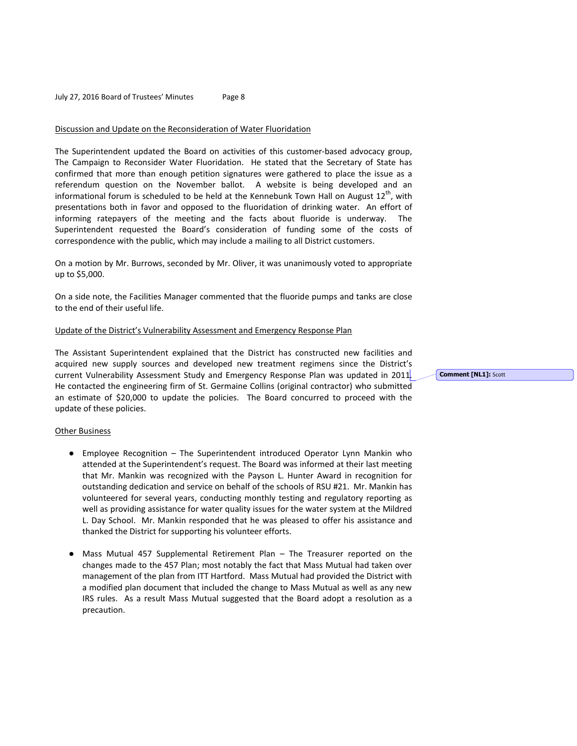## Discussion and Update on the Reconsideration of Water Fluoridation

The Superintendent updated the Board on activities of this customer-based advocacy group, The Campaign to Reconsider Water Fluoridation. He stated that the Secretary of State has confirmed that more than enough petition signatures were gathered to place the issue as a referendum question on the November ballot. A website is being developed and an informational forum is scheduled to be held at the Kennebunk Town Hall on August  $12^{th}$ , with presentations both in favor and opposed to the fluoridation of drinking water. An effort of informing ratepayers of the meeting and the facts about fluoride is underway. The Superintendent requested the Board's consideration of funding some of the costs of correspondence with the public, which may include a mailing to all District customers.

On a motion by Mr. Burrows, seconded by Mr. Oliver, it was unanimously voted to appropriate up to \$5,000.

On a side note, the Facilities Manager commented that the fluoride pumps and tanks are close to the end of their useful life.

### Update of the District's Vulnerability Assessment and Emergency Response Plan

The Assistant Superintendent explained that the District has constructed new facilities and acquired new supply sources and developed new treatment regimens since the District's current Vulnerability Assessment Study and Emergency Response Plan was updated in 2011. He contacted the engineering firm of St. Germaine Collins (original contractor) who submitted an estimate of \$20,000 to update the policies. The Board concurred to proceed with the update of these policies.

## Other Business

- Employee Recognition The Superintendent introduced Operator Lynn Mankin who attended at the Superintendent's request. The Board was informed at their last meeting that Mr. Mankin was recognized with the Payson L. Hunter Award in recognition for outstanding dedication and service on behalf of the schools of RSU #21. Mr. Mankin has volunteered for several years, conducting monthly testing and regulatory reporting as well as providing assistance for water quality issues for the water system at the Mildred L. Day School. Mr. Mankin responded that he was pleased to offer his assistance and thanked the District for supporting his volunteer efforts.
- Mass Mutual 457 Supplemental Retirement Plan The Treasurer reported on the changes made to the 457 Plan; most notably the fact that Mass Mutual had taken over management of the plan from ITT Hartford. Mass Mutual had provided the District with a modified plan document that included the change to Mass Mutual as well as any new IRS rules. As a result Mass Mutual suggested that the Board adopt a resolution as a precaution.

**Comment [NL1]:** Scott